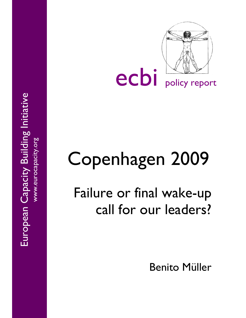

# Copenhagen 2009

Failure or final wake-up call for our leaders?

Benito Müller

European Capacity Building Initiative European Capacity Building Initiative www.eurocapacity.org www.eurocapacity.org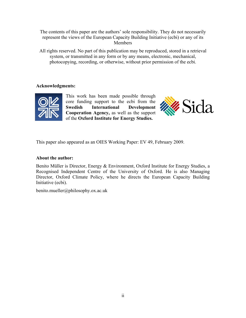The contents of this paper are the authors' sole responsibility. They do not necessarily represent the views of the European Capacity Building Initiative (ecbi) or any of its **Members** 

All rights reserved. No part of this publication may be reproduced, stored in a retrieval system, or transmitted in any form or by any means, electronic, mechanical, photocopying, recording, or otherwise, without prior permission of the ecbi.

# **Acknowledgments:**



This work has been made possible through core funding support to the ecbi from the **Swedish International Development Cooperation Agency,** as well as the support of the **Oxford Institute for Energy Studies.**



This paper also appeared as an OIES Working Paper: EV 49, February 2009.

# **About the author:**

Benito Müller is Director, Energy & Environment, Oxford Institute for Energy Studies, a Recognised Independent Centre of the University of Oxford. He is also Managing Director, Oxford Climate Policy, where he directs the European Capacity Building Initiative (ecbi).

benito.mueller@philosophy.ox.ac.uk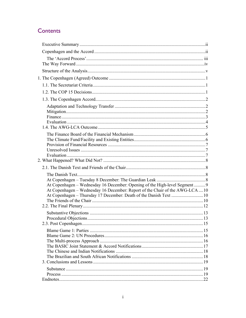# Contents

| At Copenhagen - Wednesday 16 December: Opening of the High-level Segment  9<br>At Copenhagen – Wednesday 16 December: Report of the Chair of the AWG-LCA 10 |  |
|-------------------------------------------------------------------------------------------------------------------------------------------------------------|--|
|                                                                                                                                                             |  |
|                                                                                                                                                             |  |
|                                                                                                                                                             |  |
|                                                                                                                                                             |  |
|                                                                                                                                                             |  |
|                                                                                                                                                             |  |
|                                                                                                                                                             |  |
|                                                                                                                                                             |  |
|                                                                                                                                                             |  |
|                                                                                                                                                             |  |
|                                                                                                                                                             |  |
|                                                                                                                                                             |  |
|                                                                                                                                                             |  |
|                                                                                                                                                             |  |
|                                                                                                                                                             |  |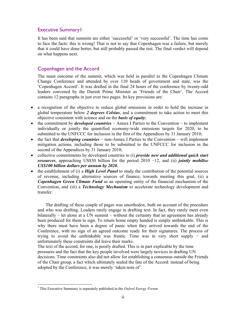# Executive Summary1

It has been said that summits are either 'successful' or 'very successful'. The time has come to face the facts: this is wrong! That is not to say that Copenhagen was a failure, but merely that it could have done better, but still probably passed the test. The final verdict will depend on what happens next.

# Copenhagen and the Accord

The main outcome of the summit, which was held in parallel to the Copenhagen Climate Change Conference and attended by over 110 heads of government and state, was the 'Copenhagen Accord'. It was drafted in the final 24 hours of the conference by twenty-odd leaders convened by the Danish Prime Minister as 'Friends of the Chair'. The Accord contains 12 paragraphs in just over two pages. Its key provisions are:

- a recognition of the objective to reduce global emissions in order to hold the increase in global temperature below *2 degrees Celsius*, and a commitment to take action to meet this objective consistent with science and on the *basis of equity*;
- the commitment by *developed countries* − Annex I Parties to the Convention − to implement individually or jointly the quantified economy-wide emissions targets for 2020, to be submitted to the UNFCCC for inclusion in the first of the Appendices by 31 January 2010;
- the fact that *developing countries* − non-Annex I Parties to the Convention − will implement mitigation actions, including those to be submitted to the UNFCCC for inclusion in the second of the Appendices by 31 January 2010;
- collective commitments by developed countries to (i) *provide new and additional quick start resources*, approaching US\$30 billion for the period 2010 −12, and (ii) *jointly mobilise US\$100 billion dollars per annum by 2020*.
- the establishment of (i) a *High Level Panel* to study the contribution of the potential sources of revenue, including alternative sources of finance, towards meeting this goal, (ii) a *Copenhagen Green Climate Fund* as an operating entity of the financial mechanism of the Convention, and (iii) a *Technology Mechanism* to accelerate technology development and transfer.

The drafting of these couple of pages was unorthodox, both on account of the procedure and who was drafting. Leaders rarely engage in drafting text. In fact, they rarely meet even bilaterally – let alone at a UN summit – without the certainty that an agreement has already been produced for them to sign. To return home empty handed is simply unthinkable. This is why there must have been a degree of panic when they arrived towards the end of the Conference, with no sign of an agreed outcome ready for their signatures. The process of trying to avoid the unthinkable was frantic. Time was in very short supply − and unfortunately these constraints did leave their marks.

The text of the accord, for one, is poorly drafted. This is in part explicable by the time pressures and the fact that the key people involved were largely novices in drafting UN decisions. Time constraints also did not allow for establishing a consensus outside the Friends of the Chair group, a fact which ultimately sealed the fate of the Accord: instead of being adopted by the Conference, it was merely 'taken note of'.

-

<sup>1</sup> This Executive Summary is separately published in the *Oxford Energy Forum*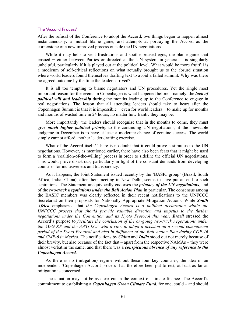#### The 'Accord Process'

After the refusal of the Conference to adopt the Accord, two things began to happen almost instantaneously: a mutual blame game, and attempts at portraying the Accord as the cornerstone of a new improved process outside the UN negotiations.

While it may help to vent frustrations and soothe bruised egos, the blame game that ensued − either between Parties or directed at the UN system in general – is singularly unhelpful, particularly if it is played out at the political level. What would be more fruitful is a modicum of self-critical reflections on what actually brought us to the absurd situation where world leaders found themselves drafting text to avoid a failed summit. Why was there no agreed outcome by the time the leaders arrived?

It is all too tempting to blame negotiators and UN procedures. Yet the single most important reason for the events in Copenhagen is what happened before – namely, the *lack of political will and leadership* during the months leading up to the Conference to engage in real negotiations. The lesson that all attending leaders should take to heart after the Copenhagen Summit is that it is impossible − even for world leaders − to make up for months and months of wasted time in 24 hours, no matter how frantic they may be.

More importantly: the leaders should recognize that in the months to come, they must give *much higher political priority* to the continuing UN negotiations, if the inevitable endgame in December is to have at least a moderate chance of genuine success. The world simply cannot afford another leader drafting exercise.

What of the Accord itself? There is no doubt that it could prove a stimulus to the UN negotiations. However, as mentioned earlier, there have also been fears that it might be used to form a 'coalition-of-the-willing' process in order to sideline the official UN negotiations. This would prove disastrous, particularly in light of the constant demands from developing countries for inclusiveness and transparency.

As it happens, the Joint Statement issued recently by the 'BASIC group' (Brazil, South Africa, India, China), after their meeting in New Delhi, seems to have put an end to such aspirations. The Statement unequivocally endorses the *primacy of the UN negotiations*, and of the *two-track negotiations under the Bali Action Plan* in particular. The consensus among the BASIC members was clearly reflected in their recent notifications to the UNFCCC Secretariat on their proposals for Nationally Appropriate Mitigation Actions. While *South Africa* emphasized that *the Copenhagen Accord is a political declaration within the*  UNFCCC process that should provide valuable direction and impetus to the further *negotiations under the Convention and its Kyoto Protocol this year*, *Brazil* stressed the Accord's purpose to *facilitate the conclusion of the on-going two-track negotiations under the AWG-KP and the AWG-LCA with a view to adopt a decision on a second commitment period of the Kyoto Protocol and also in fulfilment of the Bali Action Plan during COP-16 and CMP-6 in Mexico*. The notifications by *China* and *India* stood out not merely because of their brevity, but also because of the fact that – apart from the respective NAMAs – they were almost verbatim the same, and that there was a *conspicuous absence of any reference to the Copenhagen Accord*.

As there is no (mitigation) regime without these four key countries, the idea of an independent 'Copenhagen Accord process' has therefore been put to rest, at least as far as mitigation is concerned.

The situation may not be as clear cut in the context of climate finance. The Accord's commitment to establishing a *Copenhagen Green Climate Fund*, for one, could – and should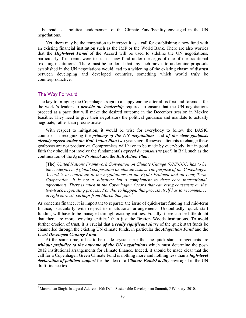– be read as a political endorsement of the Climate Fund/Facility envisaged in the UN negotiations.

Yet, there may be the temptation to interpret it as a call for establishing a new fund with an existing financial institution such as the IMF or the World Bank. There are also worries that the *High-level Panel* of the Accord will be used to sideline the UN negotiations, particularly if its remit were to such a new fund under the aegis of one of the traditional 'existing institutions'. There must be no doubt that any such moves to undermine proposals established in the UN negotiations would lead to a widening of the existing chasm of distrust between developing and developed countries, something which would truly be counterproductive.

#### The Way Forward

-

The key to bringing the Copenhagen saga to a happy ending after all is first and foremost for the world's leaders to *provide the leadership* required to ensure that the UN negotiations proceed at a pace that will make the desired outcome in the December session in Mexico feasible. They need to give their negotiators the political guidance and mandate to actually negotiate, rather than procrastinate.

With respect to mitigation, it would be wise for everybody to follow the BASIC countries in recognizing the *primacy of the UN negotiations*, and *of the clear goalposts already agreed under the Bali Action Plan* two years ago. Renewed attempts to change these goalposts are not productive. Compromises will have to be made by everybody, but in good faith they should not involve the fundamentals *agreed by consensus* (*sic!*) in Bali, such as the continuation of the *Kyoto Protocol* and the *Bali Action Plan*:

[The] *United Nations Framework Convention on Climate Change (UNFCCC) has to be the centerpiece of global cooperation on climate issues. The purpose of the Copenhagen Accord is to contribute to the negotiations on the Kyoto Protocol and on Long Term Cooperation. It is not a substitute but a complement to these core international agreements. There is much in the Copenhagen Accord that can bring consensus on the two-track negotiating process. For this to happen, this process itself has to recommence in right earnest, perhaps from March this year*. 2

As concerns finance, it is important to separate the issue of quick-start funding and mid-term finance, particularly with respect to institutional arrangements. Undoubtedly, quick start funding will have to be managed through existing entities. Equally, there can be little doubt that there are more 'existing entities' than just the Bretton Woods institutions. To avoid further erosion of trust, it is crucial that a *really significant share* of the quick start funds be channelled through the existing UN climate funds, in particular the *Adaptation Fund* and the *Least Developed Country Fund*.

At the same time, it has to be made crystal clear that the quick-start arrangements are *without prejudice to the outcome of the UN negotiations* which must determine the post-2012 institutional arrangements for climate finance. Indeed, it should be made clear that the call for a Copenhagen Green Climate Fund is nothing more and nothing less than a *high-level declaration of political support* for the idea of a *Climate Fund/Facility* envisaged in the UN draft finance text.

<sup>&</sup>lt;sup>2</sup> Manmohan Singh, Inaugural Address, 10th Delhi Sustainable Development Summit, 5 February 2010.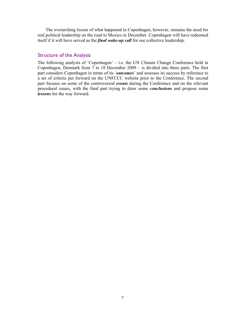The overarching lesson of what happened in Copenhagen, however, remains the need for real political leadership on the road to Mexico in December. Copenhagen will have redeemed itself if it will have served as the *final wake-up call* for our collective leadership.

# Structure of the Analysis

The following analysis of 'Copenhagen' – i.e. the UN Climate Change Conference held in Copenhagen, Denmark from 7 to 18 December 2009 – is divided into three parts. The first part considers Copenhagen in terms of its '*outcomes*' and assesses its success by reference to a set of criteria put forward on the UNFCCC website prior to the Conference. The second part focuses on some of the controversial *events* during the Conference and on the relevant procedural issues, with the final part trying to draw some *conclusions* and propose some *lessons* for the way forward.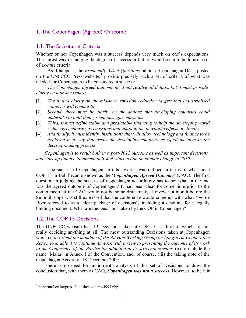# 1. The Copenhagen (Agreed) Outcome

# 1.1. The Secretariat Criteria

Whether or not Copenhagen was a success depends very much on one's expectations. The fairest way of judging the degree of success or failure would seem to be to use a set of *ex-ante* criteria.

As it happens, the *Frequently Asked Questions* 'about a Copenhagen Deal' posted on the UNFCCC Press website,<sup>3</sup> provide precisely such a set of criteria of what was needed for Copenhagen to be considered a success:

*The Copenhagen agreed outcome need not resolve all details, but it must provide clarity on four key issues:* 

- [1] *The first is clarity on the mid-term emission reduction targets that industrialised countries will commit to*.
- [2] *Second, there must be clarity on the actions that developing countries could undertake to limit their greenhouse gas emissions*.
- [3] *Third, it must define stable and predictable financing to help the developing world reduce greenhouse gas emissions and adapt to the inevitable effects of climate*.
- [4] *And finally, it must identify institutions that will allow technology and finance to be deployed in a way that treats the developing countries as equal partners in the decision-making process*.

*Copenhagen is to result both in a post-2012 outcome as well as important decisions*  and start-up finance to immediately kick-start action on climate change in 2010.

The success of Copenhagen, in other words, was defined in terms of what since COP 13 in Bali became known as the '*Copenhagen Agreed Outcome*' (CAO). The first question in judging the success of Copenhagen accordingly has to be: what in the end was the agreed outcome of Copenhagen? It had been clear for some time prior to the conference that the CAO would not be some draft treaty. However, a month before the Summit, hope was still expressed that the conference would come up with what Yvo de Boer referred to as a 'clear package of decisions',<sup>i</sup> including a deadline for a legally binding document. What are the Decisions taken by the COP in Copenhagen?

# 1.2. The COP 15 Decisions

The UNFCCC website lists 13 Decisions taken at COP  $15$ , ii a third of which are not really deciding anything at all. The most outstanding Decisions taken at Copenhagen were, (i) *to extend the mandate of the Ad Hoc Working Group on Long-term Cooperative Action to enable it to continue its work with a view to presenting the outcome of its work to the Conference of the Parties for adoption at its sixteenth session*; (ii) to include the name 'Malta' in Annex I of the Convention, and, of course, (iii) the taking note of the Copenhagen Accord of 18 December 2009.

There is no need for an in-depth analysis of this set of Decisions to draw the conclusion that, with them as CAO, *Copenhagen was not a success*. However, to be fair

 $\overline{a}$ 

<sup>&</sup>lt;sup>3</sup> http://unfccc.int/press/fact\_sheets/items/4997.php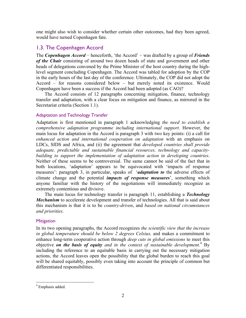one might also wish to consider whether certain other outcomes, had they been agreed, would have turned Copenhagen fate.

# 1.3. The Copenhagen Accord

The *Copenhagen Accord* − henceforth, 'the Accord' − was drafted by a group of *Friends of the Chair* consisting of around two dozen heads of state and government and other heads of delegations convened by the Prime Minister of the host country during the highlevel segment concluding Copenhagen. The Accord was tabled for adoption by the COP in the early hours of the last day of the conference. Ultimately, the COP did not adopt the Accord – for reasons considered below – but merely noted its existence. Would Copenhagen have been a success if the Accord had been adopted (as CAO)?

The Accord consists of 12 paragraphs concerning mitigation, finance, technology transfer and adaptation, with a clear focus on mitigation and finance, as mirrored in the Secretariat criteria (Section 1.1).

# Adaptation and Technology Transfer

Adaptation is first mentioned in paragraph 1 acknowledging *the need to establish a comprehensive adaptation programme including international support*. However, the main locus for adaptation in the Accord is paragraph 3 with two key points: (i) a call for *enhanced action and international cooperation on adaptation* with an emphasis on LDCs, SIDS and Africa, and (ii) the agreement that *developed countries shall provide adequate, predictable and sustainable financial resources, technology and capacitybuilding to support the implementation of adaptation action in developing countries*. Neither of these seems to be controversial. The same cannot be said of the fact that in both locations, 'adaptation' appears to be equivocated with 'impacts of response measures': paragraph 3, in particular, speaks of '*adaptation to* the adverse effects of climate change and the potential *impacts of response measures*', something which anyone familiar with the history of the negotiations will immediately recognize as extremely contentious and divisive.

The main locus for technology transfer is paragraph 11, establishing a *Technology Mechanism* to accelerate development and transfer of technologies. All that is said about this mechanism is that it is to be *country-driven*, and *based on national circumstances and priorities.*

# **Mitigation**

In its two opening paragraphs, the Accord recognizes *the scientific view that the increase in global temperature should be below 2 degrees Celsius,* and makes a commitment to enhance long-term cooperative action through *deep cuts in global emissions* to meet this objective *on the basis of equity and in the context of sustainable development.*<sup>4</sup> By including the reference to an equitable basis in carrying out the necessary mitigation actions, the Accord leaves open the possibility that the global burden to reach this goal will be shared equitably, possibly even taking into account the principle of common but differentiated responsibilities.

<u>.</u>

<sup>4</sup> Emphasis added.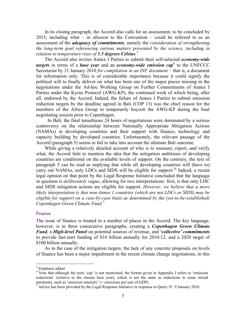In its closing paragraph, the Accord also calls for an assessment, to be concluded by 2015, including what – in allusion to the Convention – could be referred to as an assessment of the *adequacy of commitments*, namely the *consideration of strengthening the long-term goal referencing various matters presented by the science, including in relation to temperature rises of 1.5 degrees Celsius*. 5

The Accord also invites Annex I Parties to submit their self-selected *economy-wide targets* in terms of a *base year* and an *economy-wide emission cap*<sup>6</sup> to the UNFCCC Secretariat by 31 January 2010 *for compilation in an INF document* − that is, a document for information only. This is of considerable importance because it could signify the political will to finally deliver on what has been one of the major pieces missing in the negotiations under the Ad-hoc Working Group on Further Commitments of Annex I Parties under the Kyoto Protocol (AWG-KP), the continued work of which being, after all, endorsed by the Accord. Indeed, the failure of Annex I Parties to submit emission reduction targets by the deadline agreed in Bali (COP 13) was the chief reason for the members of the Africa Group to temporarily boycott the AWG-KP during the final negotiating session prior to Copenhagen.

In Bali, the final tumultuous 24 hours of negotiations were dominated by a serious controversy on the relationship between Nationally Appropriate Mitigation Actions (NAMAs) in developing countries and their support with finance, technology and capacity building by developed countries. Unfortunately, the relevant passage of the Accord (paragraph 5) seems to fail to take into account the ultimate Bali outcome.

While giving a relatively detailed account of who is to measure, report, and verify what, the Accord fails to mention the idea that the mitigation ambitions of developing countries are conditional on the available levels of support. On the contrary, the text of paragraph 5 can be read as implying that while all developing countries will (have to) carry out NAMAs, only LDCs and SIDS will be eligible for support.<sup>iii</sup> Indeed, a recent legal opinion on that point by the Legal Response Initiative concluded that the language in question is *deliberately vague*, allowing for two interpretations: first, is that only LDC and SIDS mitigation actions are eligible for support. *However, we believe that a more likely interpretation is that non-Annex 1 countries (which are not LDCs or SIDS) may be eligible for support on a case-by-case basis as determined by the (yet-to-be-established) Copenhagen Green Climate Fund.*<sup>7</sup>

#### **Finance**

The issue of finance is treated in a number of places in the Accord. The key language, however, is in three consecutive paragraphs, creating a *Copenhagen Green Climate Fund*, a *High-level Panel* on potential sources of revenue, and *'collective' commitments* to provide fast-start funding of \$10 billion annually for 2010-12, and a 2020 target of \$100 billion annually.

As in the case of the mitigation targets, the lack of any concrete proposals on levels of finance has been a major impediment in the recent climate change negotiations, in this

1

<sup>&</sup>lt;sup>5</sup> Emphasis added.

<sup>&</sup>lt;sup>6</sup> Note that although the term 'cap' is not mentioned, the format given in Appendix I refers to 'emission reductions' (relative to the chosen base year), which is not the same as reductions in some mixed parameter, such as 'emission intensity' (= emissions per unit of GDP).

 $^7$  Advice has been provided by the Legal Response Initiative in response to Query 91. 9 January 2010.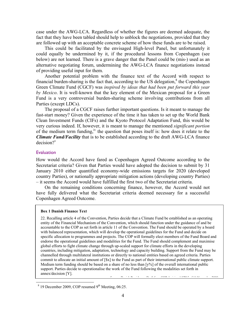case under the AWG-LCA. Regardless of whether the figures are deemed adequate, the fact that they have been tabled should help to unblock the negotiations, provided that they are followed up with an acceptable concrete scheme of how these funds are to be raised.

This could be facilitated by the envisaged High-level Panel, but unfortunately it could equally be undermined by it, if the procedural lessons from Copenhagen (see below) are not learned. There is a grave danger that the Panel could be (mis-) used as an alternative negotiating forum, undermining the AWG-LCA finance negotiations instead of providing useful input for them.

Another potential problem with the finance text of the Accord with respect to financial burden-sharing is the fact that, according to the US delegation, $\delta$  the Copenhagen Green Climate Fund (CGCF) was *inspired by ideas that had been put forward this year by Mexico*. It is well-known that the key element of the Mexican proposal for a Green Fund is a very controversial burden-sharing scheme involving contributions from all Parties (except LDCs).

The proposal of a CGCF raises further important questions. Is it meant to manage the fast-start money? Given the experience of the time it has taken to set up the World Bank Clean Investment Funds (CIFs) and the Kyoto Protocol Adaptation Fund, this would be very curious indeed. If, however, it is meant to manage the mentioned *significant portion* of the medium term funding,<sup>iv</sup> the question that poses itself is: how does it relate to the *Climate Fund/Facility* that is to be established according to the draft AWG-LCA finance  $decision?$ <sup>v</sup>

# **Evaluation**

<u>.</u>

How would the Accord have fared as Copenhagen Agreed Outcome according to the Secretariat criteria? Given that Parties would have adopted the decision to submit by 31 January 2010 either quantified economy-wide emissions targets for 2020 (developed country Parties), or nationally appropriate mitigation actions (developing country Parties) – it seems the Accord would have fulfilled the first two of the Secretariat criteria.

On the remaining conditions concerning finance, however, the Accord would not have fully delivered what the Secretariat criteria deemed necessary for a successful Copenhagen Agreed Outcome.

#### **Box 1 Danish Finance Text**

22. Recalling article 4 of the Convention, Parties decide that a Climate Fund be established as an operating entity of the Financial Mechanism of the Convention, which should function under the guidance of and be accountable to the COP as set forth in article 11 of the Convention. The Fund should be operated by a board with balanced representation, which will develop the operational guidelines for the Fund and decide on specific allocation to programmes and projects. The COP will formally elect members of the Fund Board and endorse the operational guidelines and modalities for the Fund. The Fund should complement and maximise global efforts to fight climate change through up-scaled support for climate efforts in the developing countries, including mitigation, adaptation, technology and capacity building. Support from the Fund may be channelled through multilateral institutions or directly to national entities based on agreed criteria. Parties commit to allocate an initial amount of [\$x] to the Fund as part of their international public climate support. Medium term funding should be based on a share of no less than  $[y\%]$  of the overall international public support. Parties decide to operationalise the work of the Fund following the modalities set forth in annex/decision [Y]. S D i h P e cop i i impiserius

 $8$  19 December 2009, COP resumed 9<sup>th</sup> Meeting, 06:25.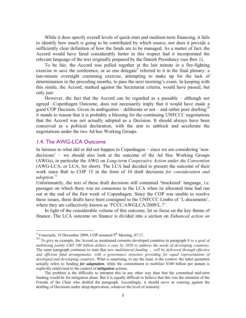While it does specify overall levels of quick-start and medium-term financing, it fails to identify how much is going to be contributed by which source, nor does it provide a sufficiently clear definition of how the funds are to be managed. As a matter of fact, the Accord would have fared considerably better in this respect had it incorporated the relevant language of the text originally prepared by the Danish Presidency (see Box 1).

To be fair, the Accord was pulled together at the last minute in a fire-fighting exercise to save the conference, or as one delegate<sup>9</sup> referred to it in the final plenary: a last-minute overnight cramming exercise, attempting to make up for the lack of determination in the preceding months, to pass the next morning's exam. In keeping with this simile, the Accord, marked against the Secretariat criteria, would have passed, but only just.

However, the fact that the Accord can be regarded as a passable – although not agreed –Copenhagen Outcome, does not necessarily imply that it would have made a good COP Decision. Given its ambiguities – deliberate or not – and rather poor drafting<sup>10</sup> it stands to reason that it is probably a blessing for the continuing UNFCCC negotiations that the Accord was not actually adopted as a Decision. It should always have been conceived as a political declaration, with the aim to unblock and accelerate the negotiations under the two Ad hoc Working Groups.

# 1.4. The AWG-LCA Outcome

In fairness to what did or did not happen in Copenhagen − since we are considering 'nondecisions' − we should also look at the outcome of the Ad Hoc Working Groups (AWGs), in particular the AWG on *Long-term Cooperative Action under the Convention* (AWG-LCA, or LCA, for short). The LCA had decided to present the outcome of their work since Bali to COP 15 in the form of 10 draft decisions *for consideration and*  adoption.<sup>vi</sup>

Unfortunately, the text of these draft decisions still contained 'bracketed' language, i.e. passages on which there was no consensus in the LCA when its allocated time had run out at the end of the first week of Copenhagen. Since the COP was unable to resolve these issues, these drafts have been consigned to the UNFCCC Limbo of 'L-documents', where they are collectively known as 'FCCC/AWGLCA/2009/L.7'.

In light of the considerable volume of this outcome, let us focus on the key theme of finance. The LCA outcome on finance is divided into a section on *Enhanced action on* 

<sup>&</sup>lt;sup>9</sup> Venezuela, 19 December 2009, COP resumed 9<sup>th</sup> Meeting, 07:17.

<sup>10</sup> To give an example, the Accord as mentioned commits developed countries in paragraph 8 *to a goal of mobilizing jointly USD 100 billion dollars a year by 2020 to address the needs of developing countries*. The same paragraph continues to state that *new multilateral funding … will be delivered through effective and efficient fund arrangements, with a governance structure providing for equal representation of developed and developing countries*. What is surprising, to say the least, is the context: the latter quotation actually refers to funding *for adaptation*, while the commitment to mobilize \$100 billion per annum is explicitly relativized to the context of *mitigation* actions.

The problem is the difficulty to interpret this in any other way than that the committed mid-term funding would be for mitigation alone. But it is equally difficult to believe that this was the intention of the Friends of the Chair who drafted the paragraph. Accordingly, it should serve as warning against the drafting of Decisions under sleep deprivation, whatever the level of seniority.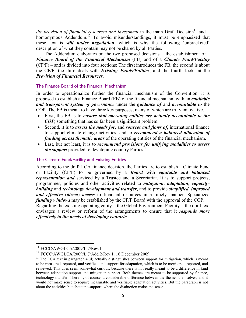*the provision of financial resources and investment* in the main Draft Decision<sup>11</sup> and a homonymous Addendum.<sup>12</sup> To avoid misunderstandings, it must be emphasized that these text is *still under negotiation*, which is why the following 'unbracketed' description of what they contain may not be shared by all Parties.

The Addendum elaborates on the two proposed decisions – the establishment of a *Finance Board of the Financial Mechanism* (FB) and of a *Climate Fund/Facility* (CF/F) – and is divided into four sections: The first introduces the FB, the second is about the CF/F, the third deals with *Existing Funds/Entities*, and the fourth looks at the *Provision of Financial Resources*.

## The Finance Board of the Financial Mechanism

In order to operationalize further the financial mechanism of the Convention, it is proposed to establish a Finance Board (FB) of the financial mechanism with an *equitable and transparent system of governance* under the *guidance of* and *accountable to* the COP. The FB is meant to have three key purposes, many of which are truly innovative.

- First, the FB is to *ensure that operating entities are actually accountable to the COP*, something that has so far been a significant problem.
- Second, it is to *assess the needs for*, and *sources and flows of*, international finance to support climate change activities, and to *recommend a balanced allocation of funding across thematic areas* of the operating entities of the financial mechanism.
- Last, but not least, it is to *recommend provisions for unifying modalities to assess the support* provided to developing country Parties.<sup>13</sup>

#### The Climate Fund/Facility and Existing Entities

According to the draft LCA finance decision, the Parties are to establish a Climate Fund or Facility (CF/F) to be governed by a *Board* with *equitable and balanced representation and* serviced by a Trustee and a Secretariat. It is to support projects, programmes, policies and other activities related to *mitigation*, *adaptation*, *capacitybuilding* and *technology development and transfer*, and to provide *simplified, improved and effective* (*direct*) *access* to financial resources in a timely manner. Specialized *funding windows* may be established by the CF/F Board with the approval of the COP. Regarding the existing operating entity – the Global Environment Facility – the draft text envisages a review or reform of the arrangements to ensure that it *responds more effectively to the needs of developing countrie*s.

1

FCCC/AWGLCA/2009/L.7/Rev.1

 $12$  FCCC/AWGLCA/2009/L.7/Add.2/Rev.1. 16 December 2009.

 $13$  The LCA text in paragraph 4.(d) actually distinguishes between support for mitigation, which is meant to be measured, reported, and verified, and support for adaptation, which is to be monitored, reported, and reviewed. This does seem somewhat curious, because there is not really meant to be a difference in kind between adaptation support and mitigation support. Both themes are meant to be supported by finance, technology transfer. There is, of course, a considerable difference between the themes themselves, and it would not make sense to require measurable and verifiable adaptation activities. But the paragraph is not about the activities but about the support, where the distinction makes no sense.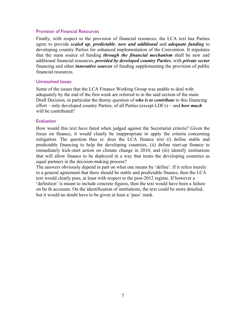# Provision of Financial Resources

Finally, with respect to the provision of financial resources, the LCA text has Parties agree to provide *scaled up*, *predictable*, *new and additional* and *adequate funding* to developing country Parties for enhanced implementation of the Convention. It stipulates that the main source of funding *through the financial mechanism* shall be new and additional financial resources, *provided by developed country Parties*, with *private sector* financing and other *innovative sources* of funding supplementing the provision of public financial resources.

# Unresolved Issues

Some of the issues that the LCA Finance Working Group was unable to deal with adequately by the end of the first week are referred to in the said section of the main Draft Decision, in particular the thorny question of *who is to contribute* to this financing effort – only developed country Parties, of all Parties (except LDCs) − and *how much* will be contributed?

## **Evaluation**

How would this text have fared when judged against the Secretariat criteria? Given the focus on finance, it would clearly be inappropriate to apply the criteria concerning mitigation. The question thus is: does the LCA finance text (i) define stable and predictable financing to help the developing countries, (ii) define start-up finance to immediately kick-start action on climate change in 2010, and (iii) identify institutions that will allow finance to be deployed in a way that treats the developing countries as equal partners in the decision-making process?

The answers obviously depend in part on what one means by 'define'. If it refers merely to a general agreement that there should be stable and predictable finance, then the LCA text would clearly pass, at least with respect to the post-2012 regime. If however a 'definition' is meant to include concrete figures, then the text would have been a failure on bo th accounts. On the identification of institutions, the text could be more detailed, but it would no doubt have to be given at least a 'pass' mark.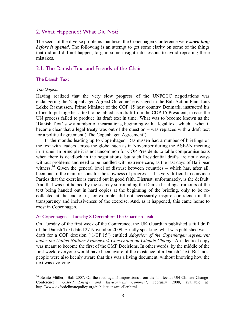# 2. What Happened? What Did Not?

The seeds of the diverse problems that beset the Copenhagen Conference were *sown long before it opened*. The following is an attempt to get some clarity on some of the things that did and did not happen, to gain some insight into lessons to avoid repeating these mistakes.

# 2.1. The Danish Text and Friends of the Chair

## The Danish Text

#### The Origins.

1

Having realized that the very slow progress of the UNFCCC negotiations was endangering the 'Copenhagen Agreed Outcome' envisaged in the Bali Action Plan, Lars Løkke Rasmussen, Prime Minister of the COP 15 host country Denmark, instructed his office to put together a text to be tabled as a draft from the COP 15 President, in case the UN process failed to produce its draft text in time. What was to become known as the 'Danish Text' saw a number of incarnations, beginning with a legal text, which – when it became clear that a legal treaty was out of the question – was replaced with a draft text for a political agreement ('The Copenhagen Agreement').

In the months leading up to Copenhagen, Rasmussen had a number of briefings on the text with leaders across the globe, such as in November during the ASEAN meeting in Brunei. In principle it is not uncommon for COP Presidents to table compromise texts when there is deadlock in the negotiations, but such Presidential drafts are not always without problems and need to be handled with extreme care, as the last days of Bali bear witness.<sup>14</sup> Given the general level of distrust between countries – which has, after all, been one of the main reasons for the slowness of progress – it is very difficult to convince Parties that the exercise is carried out in good faith. Distrust, unfortunately, is the default. And that was not helped by the secrecy surrounding the Danish briefings: rumours of the text being handed out in hard copies at the beginning of the briefing, only to be recollected at the end of it, for example, did not necessarily inspire confidence in the transparency and inclusiveness of the exercise. And, as it happened, this came home to roost in Copenhagen.

# At Copenhagen – Tuesday 8 December: The Guardian Leak

On Tuesday of the first week of the Conference, the UK Guardian published a full draft of the Danish Text dated 27 November 2009. Strictly speaking, what was published was a draft for a COP decision ('1/CP.15') entitled *Adoption of the Copenhagen Agreement under the United Nations Framework Convention on Climate Change*. An identical copy was meant to become the first of the CMP Decisions. In other words, by the middle of the first week, everyone would have been aware of the existence of a Danish Text. But most people were also keenly aware that this was a living document, without knowing how the text was evolving.

<sup>&</sup>lt;sup>14</sup> Benito Müller, "Bali 2007: On the road again! Impressions from the Thirteenth UN Climate Change Conference*,*" *Oxford Energy and Environment Comment*, February 2008, available at http://www.oxfordclimatepolicy.org/publications/mueller.html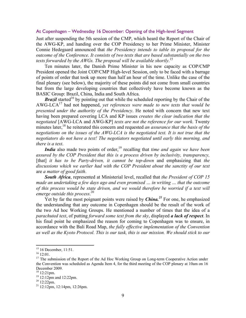# At Copenhagen – Wednesday 16 December: Opening of the High-level Segment

Just after suspending the 5th session of the CMP, which heard the Report of the Chair of the AWG-KP, and handing over the COP Presidency to her Prime Minister, Minister Connie Hedegaard announced that *the Presidency intends to table its proposal for the outcome of the Conference. It consists of two texts that are based substantially on the two texts forwarded by the AWGs. The proposal will be available shortly*. 15

Ten minutes later, the Danish Prime Minister in his new capacity as COP/CMP President opened the Joint COP/CMP High-level Session, only to be faced with a barrage of points of order that took up more than half an hour of the time. Unlike the case of the final plenary (see below), the majority of these points did not come from small countries but from the large developing countries that collectively have become known as the BASIC Group: Brazil, China, India and South Africa.

*Brazil* started<sup>16</sup> by pointing out that while the scheduled reporting by the Chair of the AWG-LCA<sup>17</sup> had not happened, *yet references were made to new texts that would be presented under the authority of the Presidency*. He noted with concern that new text having been prepared covering LCA and KP issues *creates the clear indication that the negotiated* [AWG-LCA and AWG-KP] *texts are not the reference for our work*. Twenty minutes later,<sup>18</sup> he reiterated this concern and requested *an assurance that the basis of the negotiations on the issues of the AWG-LCA is the negotiated text. It is not true that the negotiators do not have a text! The negotiators negotiated until early this morning, and there is a text*.

*India* also made two points of order,<sup>19</sup> recalling that *time and again we have been assured by the COP President that this is a process driven by inclusivity, transparency,*  [that] *it has to be Party-driven, it cannot be top-down* and emphasizing that *the discussions which we earlier had with the COP President about the sanctity of our text* are *a matter of good faith*.

*South Africa*, represented at Ministerial level, recalled that *the President of COP 15 made an undertaking a few days ago and even promised … in writing … that the outcome of this process would be state driven, and we would therefore be worried if a text will emerge outside this process*. 20

Yet by far the most poignant points were raised by *China*<sup>21</sup> For one, he emphasized the understanding that any outcome in Copenhagen should be the result of the work of the two Ad hoc Working Groups. He mentioned a number of times that the idea of a *parachuted text*, of putting *forward some text from the sky*, displayed *a lack of respect*. In his final point he emphasized the reason for coming to Copenhagen was to ensure, in accordance with the Bali Road Map, *the fully effective implementation of the Convention as well as the Kyoto Protocol. This is our task, this is our mission. We should stick to our* 

 $\overline{a}$ 

<sup>&</sup>lt;sup>15</sup> 16 December, 11:51.

 $16$  12:01.

<sup>&</sup>lt;sup>17</sup> The submission of the Report of the Ad Hoc Working Group on Long-term Cooperative Action under the Convention was scheduled as Agenda Item 4, for the third meeting of the COP plenary at 10am on 16 December 2009.

<sup>18 12:21</sup>pm.

<sup>&</sup>lt;sup>19</sup> 12:12pm and 12:22pm.

 $20$  12:22pm.

<sup>21 12:12</sup>pm, 12:14pm, 12:26pm.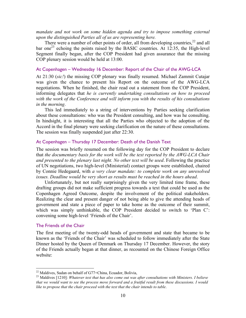*mandate and not work on some hidden agenda and try to impose something external upon the distinguished Parties all of us are representing here.*

There were a number of other points of order, all from developing countries,  $2^2$  and all bar one<sup>23</sup> echoing the points raised by the BASIC countries. At 12:35, the High-level Segment finally began, after the COP President had given assurance that the missing COP plenary session would be held at 13:00.

## At Copenhagen – Wednesday 16 December: Report of the Chair of the AWG-LCA

At 21:30 (*sic!*) the missing COP plenary was finally resumed. Michael Zammit Cutajar was given the chance to present his Report on the outcome of the AWG-LCA negotiations. When he finished, the chair read out a statement from the COP President, informing delegates that *he is currently undertaking consultations on how to proceed with the work of the Conference and will inform you with the results of his consultations in the morning*.

This led immediately to a string of interventions by Parties seeking clarification about these consultations: who was the President consulting, and how was he consulting. In hindsight, it is interesting that all the Parties who objected to the adoption of the Accord in the final plenary were seeking clarification on the nature of these consultations. The session was finally suspended just after 22:30.

### At Copenhagen – Thursday 17 December: Death of the Danish Text

The session was briefly resumed on the following day for the COP President to declare that *the documentary basis for the work will be the text reported by the AWG-LCA Chair and presented to the plenary last night. No other text will be used*. Following the practice of UN negotiations, two high-level (Ministerial) contact groups were established, chaired by Connie Hedegaard, with *a very clear mandate: to complete work on any unresolved issues. Deadline would be very short as results must be reached in the hours ahead*.

Unfortunately, but not really surprisingly given the very limited time frame, these drafting groups did not make sufficient progress towards a text that could be used as the Copenhagen Agreed Outcome, despite the involvement of the political stakeholders. Realizing the clear and present danger of not being able to give the attending heads of government and state a piece of paper to take home as the outcome of their summit, which was simply unthinkable, the COP President decided to switch to 'Plan C': convening some high-level 'Friends of the Chair'.

#### The Friends of the Chair

<u>.</u>

The first meeting of the twenty-odd heads of government and state that became to be known as the 'Friends of the Chair' was scheduled to follow immediately after the State Dinner hosted by the Queen of Denmark on Thursday 17 December. However, the story of the Friends actually began at that dinner, as recounted on the Chinese Foreign Office website:

 $^{22}$  Maldives, Sudan on behalf of G77+China, Ecuador, Bolivia,

<sup>23</sup> Maldives [1210]: *Whatever text that has also come out was after consultations with Ministers. I believe that we would want to see the process move forward and a fruitful result from these discussions. I would like to propose that the chair proceed with the text that the chair intends to table*.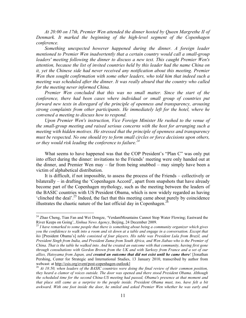*At 20:00 on 17th, Premier Wen attended the dinner hosted by Queen Margrethe II of Denmark. It marked the beginning of the high-level segment of the Copenhagen conference.* 

*Something unexpected however happened during the dinner. A foreign leader mentioned to Premier Wen inadvertently that a certain country would call a small-group*  leaders' meeting following the dinner to discuss a new text. This caught Premier Wen's *attention, because the list of invited countries held by this leader had the name China on it, yet the Chinese side had never received any notification about this meeting. Premier Wen then sought confirmation with some other leaders, who told him that indeed such a meeting was scheduled after the dinner. It was really absurd that the country who called for the meeting never informed China.* 

*Premier Wen concluded that this was no small matter. Since the start of the conference, there had been cases where individual or small group of countries put forward new texts in disregard of the principle of openness and transparency, arousing strong complaints from other participants. He immediately left for the hotel, where he convened a meeting to discuss how to respond.* 

*Upon Premier Wen's instruction, Vice Foreign Minister He rushed to the venue of the small-group meeting and raised serious concerns with the host for arranging such a meeting with hidden motives. He stressed that the principle of openness and transparency must be respected. No one should try to form small circles or force decisions upon others, or they would risk leading the conference to failure.24* 

What seems to have happened was that the COP President's "Plan C" was only put into effect during the dinner: invitations to the Friends' meeting were only handed out at the dinner, and Premier Wen may – far from being snubbed – may simply have been a victim of alphabetical distribution.

It is difficult, if not impossible, to assess the process of the Friends – collectively or bilaterally – in drafting the 'Copenhagen Accord', apart from snapshots that have already become part of the Copenhagen mythology, such as the meeting between the leaders of the BASIC countries with US President Obama, which is now widely regarded as having 'clinched the deal'.25 Indeed, the fact that this meeting came about purely by coincidence illustrates the chaotic nature of the last official day in Copenhagen.<sup>26</sup>

 $\overline{a}$ 

<sup>&</sup>lt;sup>24</sup> Zhao Cheng, Tian Fan and Wei Dongze, 'VerdantMountains Cannot Stop Water Flowing; Eastward the River Keeps on Going', *Xinhua News Agency*, Beijing, 24 December 2009.<br><sup>25</sup> *I have remarked to some people that there is something about being a community organizer which gives* 

*you the confidence to walk into a room and sit down at a table and engage in a conversation. Except that his* [President Obama's] *table consisted of four players. His table was President Lula from Brazil, and President Singh from India, and President Zuma from South Africa, and Wen Jiabao who is the Premier of China. That is the table he walked into. And he created an outcome with that community, having first gone through consultations with Gordon Brown from the UK and with Sarkozy from France and a set of our allies, Hatoyama from Japan, and created an outcome that did not exist until he came there!* [Jonathan Pershing, Center for Strategic and International Studies, 13 January 2010, transcribed by author from webcast: at <u>http://csis.org/event/post-copenhagen-outlook</u>]<br><sup>26</sup> *At 18:50, when leaders of the BASIC countries were doing the final review of their common position,* 

*they heard a clamor of voices outside. The door was opened and there stood President Obama. Although the scheduled time for the second China-US meeting had passed, Obama's presence at that moment and that place still came as a surprise to the people inside. President Obama must, too, have felt a bit awkward. With one foot inside the door, he smiled and asked Premier Wen whether he was early and*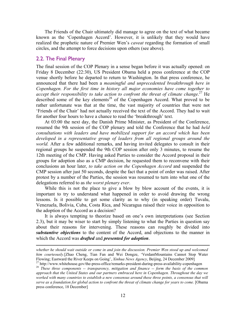The Friends of the Chair ultimately did manage to agree on the text of what became known as the 'Copenhagen Accord'. However, it is unlikely that they would have realized the prophetic nature of Premier Wen's *caveat* regarding the formation of small circles, and the attempt to force decisions upon others (see above).

# 2.2. The Final Plenary

1

The final session of the COP Plenary in a sense began before it was actually opened: on Friday 8 December (22:30), US President Obama held a press conference at the COP venue shortly before he departed to return to Washington. In that press conference, he announced that there had been a *meaningful and unprecedented breakthrough here in Copenhagen. For the first time in history all major economies have come together to*  accept their responsibility to take action to confront the threat of climate change.<sup>27</sup> He described some of the key elements<sup>28</sup> of the Copenhagen Accord. What proved to be rather unfortunate was that at the time, the vast majority of countries that were not 'Friends of the Chair' had not actually received the text of the Accord. They had to wait for another four hours to have a chance to read the 'breakthrough' text.

At 03:00 the next day, the Danish Prime Minister, as President of the Conference, resumed the 9th session of the COP plenary and told the Conference that he had *held consultations with leaders and have mobilized support for an accord which has been*  developed in a representative group of leaders from all regional groups around the *world.* After a few additional remarks, and having invited delegates to consult in their regional groups he suspended the 9th COP session after only 3 minutes, to resume the 12th meeting of the CMP. Having asked Parties to consider the Accord proposal in their groups for adoption also as a CMP decision, he requested them to reconvene with their conclusions an hour later, *to take action on the Copenhagen Accord* and suspended the CMP session after just 50 seconds, despite the fact that a point of order was raised. After protest by a number of the Parties, the session was resumed to turn into what one of the delegations referred to as *the worst plenary ever*.

While this is not the place to give a blow by blow account of the events, it is important to try to understand what happened in order to avoid drawing the wrong lessons. Is it possible to get some clarity as to why (in speaking order) Tuvalu, Venezuela, Bolivia, Cuba, Costa Rica, and Nicaragua raised their voice in opposition to the adoption of the Accord as a decision?

It is always tempting to theorize based on one's own interpretations (see Section 2.3), but it may be wiser to start by simply listening to what the Parties in question say about their reasons for intervening. These reasons can roughly be divided into *substantive objections* to the content of the Accord, and objections to the manner in which the Accord was *drafted* and *presented for adoption*.

*whether he should wait outside or come in and join the discussion. Premier Wen stood up and welcomed him courteously.*[Zhao Cheng, Tian Fan and Wei Dongze, 'VerdantMountains Cannot Stop Water Flowing; Eastward the River Keeps on Going', *Xinhua News Agency*, Beijing, 24 December 2009] 27 http://www.whitehouse.gov/the-press-office/remarks-president-during-press-availability-copenhagen

<sup>28</sup> *These three components -- transparency, mitigation and finance -- form the basis of the common approach that the United States and our partners embraced here in Copenhagen. Throughout the day we worked with many countries to establish a new consensus around these three points, a consensus that will serve as a foundation for global action to confront the threat of climate change for years to come.* [Obama press conference, 18 December]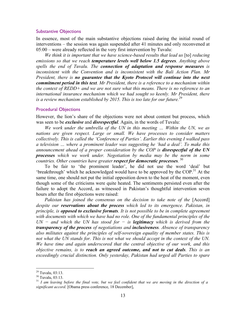#### Substantive Objections

In essence, most of the main substantive objections raised during the initial round of interventions – the session was again suspended after 41 minutes and only reconvened at 05:00 – were already reflected in the very first intervention by Tuvalu:

*We think it is important that we have science-based results that lead us* [to] *reducing emissions so that we reach temperature levels well below 1.5 degrees. Anything above spells the end of Tuvalu. The connection of adaptation and response measures is inconsistent with the Convention and is inconsistent with the Bali Action Plan. Mr President, there is no guarantee that the Kyoto Protocol will continue into the next commitment period in this text. Mr President, there is a reference to a mechanism within the context of REDD+ and we are not sure what this means. There is no reference to an international insurance mechanism which we had sought so keenly. Mr President, there is a review mechanism established by 2015. This is too late for our future.*<sup>29</sup>

#### Procedural Objections

However, the lion's share of the objections were not about content but process, which was seen to be *exclusive* and *disrespectful*. Again, in the words of Tuvalu:

*We work under the umbrella of the UN in this meeting … Within the UN, we as nations are given respect. Large or small. We have processes to consider matters collectively. This is called the 'Conference of Parties'. Earlier this evening I walked pass a television … where a prominent leader was suggesting he 'had a deal'. To make this announcement ahead of a proper consideration by the COP is disrespectful of the UN processes which we work under. Negotiation by media may be the norm in some countries. Other countries have greater respect for democratic processes.* 30

To be fair to 'the prominent leader', he did not use the word 'deal' but 'breakthrough' which he acknowledged would have to be approved by the COP.<sup>31</sup> At the same time, one should not put the initial opposition down to the heat of the moment, even though some of the criticisms were quite heated. The sentiments persisted even after the failure to adopt the Accord, as witnessed in Pakistan's thoughtful intervention seven hours after the first objections were raised:

*Pakistan has joined the consensus on the decision to take note of the* [Accord] *despite our reservations about the process which led to its emergence. Pakistan, in principle, is opposed to exclusive formats. It is not possible to be in complete agreement with documents with which we have had no role. One of the fundamental principles of the UN − and which the UN has stood for − is legitimacy which is derived from the transparency of the process of negotiations and inclusiveness. Absence of transparency also militates against the principles of self-sovereign equality of member states. This is not what the UN stands for. This is not what we should accept in the context of the UN. We have time and again underscored that the central objective of our work, and this objective remains, is to reach an agreed outcome, and not to cut deals. This is an exceedingly crucial distinction. Only yesterday, Pakistan had urged all Parties to spare* 

 $\overline{a}$ 

 $29$  Tuvalu, 03:13.

<sup>30</sup> Tuvalu, 03:13.

<sup>&</sup>lt;sup>31</sup> *I am leaving before the final vote, but we feel confident that we are moving in the direction of a significant accord*. [Obama press conference, 18 December],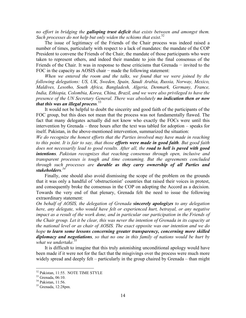*no effort in bridging the galloping trust deficit that exists between and amongst them.*  Such processes do not help but only widen the schisms that exist.<sup>32</sup>

The issue of legitimacy of the Friends of the Chair process was indeed raised a number of times, particularly with respect to a lack of mandates: the mandate of the COP President to convene the Friends of the Chair, the mandate of those participants who were taken to represent others, and indeed their mandate to join the final consensus of the Friends of the Chair. It was in response to these criticisms that Grenada − invited to the FOC in the capacity as AOSIS chair – made the following statement:

*When we entered the room and the talks, we found that we were joined by the following delegations: US, UK, Sweden, Spain, Saudi Arabia, Russia, Norway, Mexico, Maldives, Lesotho, South Africa, Bangladesh, Algeria, Denmark, Germany, France, India, Ethiopia, Colombia, Korea, China, Brazil, and we were also privileged to have the presence of the UN Secretary General. There was absolutely no indication then or now that this was an illegal process.* 33

It would not be helpful to doubt the sincerity and good faith of the participants of the FOC group, but this does not mean that the process was not fundamentally flawed. The fact that many delegates actually did not know who exactly the FOCs were until this intervention by Grenada – three hours after the text was tabled for adoption – speaks for itself. Pakistan, in the above-mentioned intervention, summarized the situation:

*We do recognize the honest efforts that the Parties involved may have made in reaching to this point. It is fair to say, that those efforts were made in good faith. But good faith does not necessarily lead to good results. After all, the road to hell is paved with good intentions. Pakistan recognizes that reaching consensus through open, inclusive and transparent processes is tough and time consuming. But the agreements concluded through such processes are durable as they carry ownership of all Parties and stakeholders. 34*

Finally, one should also avoid dismissing the scope of the problem on the grounds that it was only a handful of 'obstructionist' countries that raised their voices in protest, and consequently broke the consensus in the COP on adopting the Accord as a decision. Towards the very end of that plenary, Grenada felt the need to issue the following extraordinary statement:

*On behalf of AOSIS, the delegation of Grenada sincerely apologizes to any delegation here, any delegate, who would have felt or experienced hurt, betrayal, or any negative impact as a result of the work done, and in particular our participation in the Friends of the Chair group. Let it be clear, this was never the intention of Grenada in its capacity at the national level or as chair of AOSIS. The exact opposite was our intention and we do hope to learn some lessons concerning greater transparency, concerning more skilled diplomacy and negotiations, so that no one in this family of nations would be hurt by*  what we undertake.<sup>3</sup>

It is difficult to imagine that this truly astonishing unconditional apology would have been made if it were not for the fact that the misgivings over the process were much more widely spread and deeply felt – particularly in the group chaired by Grenada – than might

 $\overline{a}$ 

<sup>&</sup>lt;sup>32</sup> Pakistan, 11:55. NOTE TIME STYLE

<sup>33</sup> Grenada, 06:10.

<sup>34</sup> Pakistan, 11:56.

<sup>35</sup> Grenada, 12:28pm.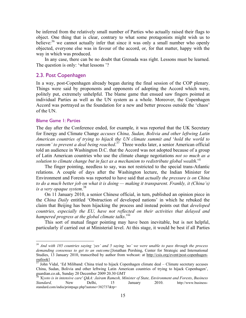be inferred from the relatively small number of Parties who actually raised their flags to object. One thing that is clear, contrary to what some protagonists might wish us to believe: $36$  we cannot actually infer that since it was only a small number who openly objected, everyone else was in favour of the accord, or, for that matter, happy with the way in which was produced.

In any case, there can be no doubt that Grenada was right. Lessons must be learned. The question is only: 'what lessons '?

# 2.3. Post Copenhagen

In a way, post-Copenhagen already began during the final session of the COP plenary. Things were said by proponents and opponents of adopting the Accord which were, politely put, extremely unhelpful. The blame game that ensued saw fingers pointed at individual Parties as well as the UN system as a whole. Moreover, the Copenhagen Accord was portrayed as the foundation for a new and better process outside the 'chaos' of the UN.

#### Blame Game 1: Parties

 $\overline{a}$ 

The day after the Conference ended, for example, it was reported that the UK Secretary for Energy and Climate Change *accuses China, Sudan, Bolivia and other leftwing Latin American countries of trying to hijack the UN climate summit and* '*hold the world to ransom' to prevent a deal being reached*. 37 Three weeks later, a senior American official told an audience in Washington D.C. that the Accord was not adopted because of a group of Latin American countries who use the climate change negotiations *not so much as a*  solution to climate change but in fact as a mechanism to redistribute global wealth.<sup>vii</sup>

The finger pointing, needless to say, was not restricted to the special trans-Atlantic relations. A couple of days after the Washington lecture, the Indian Minister for Environment and Forests was reported to have said that *actually the pressure is on China to do a much better job on what it is doing — making it transparent. Frankly, it (China's) is a very opaque system*. 38

On 11 January 2010, a senior Chinese official, in turn, published an opinion piece in the *China Daily* entitled 'Obstruction of developed nations' in which he rebuked the claim that Beijing has been hijacking the process and instead points out that *developed countries, especially the EU, have not reflected on their activities that delayed and*  hampered progress at the global climate talks.<sup>viii</sup>

This sort of mutual finger pointing may have been inevitable, but is not helpful, particularly if carried out at Ministerial level. At this stage, it would be best if all Parties

*<sup>36</sup> And with 185 countries saying 'yes' and 5 saying 'no' we were unable to pass through the process demanding consensus to get to an outcome*.[Jonathan Pershing, Center for Strategic and International Studies, 13 January 2010, transcribed by author from webcast: at http://csis.org/event/post-copenhagen- $\frac{\text{outlook}}{37}$  John Vidal, 'Ed Miliband: China tried to hijack Copenhagen climate deal – Climate secretary accuses

China, Sudan, Bolivia and other leftwing Latin American countries of trying to hijack Copenhagen', guardian.co.uk, Sunday 20 December 2009 20.30 GMT

<sup>38</sup> *'Kyoto is in intensive care' Q&A: Jairam Ramesh, Minister of State, Environment and Forests*, *Business Standard,* New Delhi, 15 January 2010. http://www.businessstandard.com/india/printpage.php?autono=382737&tp=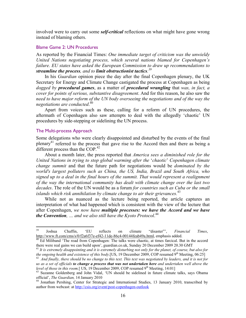involved were to carry out some *self-critical* reflections on what might have gone wrong instead of blaming others.

## Blame Game 2: UN Procedures

As reported by the Financial Times: *One immediate target of criticism was the unwieldy United Nations negotiating process, which several nations blamed for Copenhagen's failure. EU states have asked the European Commission to draw up recommendations to streamline the process, and to limit obstructionist tactics. 39*

In his *Guardian* opinion piece the day after the final Copenhagen plenary, the UK Secretary for Energy and Climate Change castigated the process at Copenhagen as being *dogged by procedural games*, as a matter of *procedural wrangling* that *was, in fact, a cover for points of serious, substantive disagreement*. And for this reason, he also saw the need to have major reform of the UN body overseeing the negotiations and of the way the *negotiations are conducted*. 40

Apart from voices such as these, calling for a reform of UN procedures, the aftermath of Copenhagen also saw attempts to deal with the allegedly 'chaotic' UN procedures by side-stepping or sidelining the UN process.

#### The Multi-process Approach

Some delegations who were clearly disappointed and disturbed by the events of the final plenary<sup>41</sup> referred to the process that gave rise to the Accord then and there as being a different process than the COP.<sup>42</sup>

About a month later, the press reported that *America sees a diminished role for the United Nations in trying to stop global warming after the* '*chaotic*' *Copenhagen climate change summit* and that the future path for negotiations would be *dominated by the world's largest polluters such as China, the US, India, Brazil and South Africa, who signed up to a deal in the final hours of the summit. That would represent a realignment of the way the international community has dealt with climate change over the last two decades*. The role of the UN would be as a forum *for countries such as Cuba or the small islands which risk annihilation by climate change to air their grievances.*<sup>43</sup>

While not as nuanced as the lecture being reported, the article captures an interpretation of what had happened which is consistent with the view of the lecture that after Copenhagen, *we now have multiple processes: we have the Accord and we have the Convention, … and we also still have the Kyoto Protocol*. 44

<sup>39</sup> 39 Joshua Chaffin, 'EU reflects on climate "disaster"', *Financial Times*,

http://www.ft.com/cms/s/0/f2a6f37e-ef42-11de-86c4-00144feab49a.html, emphasis added.<br><sup>40</sup> Ed Miliband 'The road from Copenhagen: The talks were chaotic, at times farcical. But in the accord there were real gains we can bui

<sup>&</sup>lt;sup>41</sup> It is extremely disappointing and it is extremely disturbing not only for the planet, of course, but also for the ongoing health and existence of this body.[US, 19 December 2009, COP resumed 9<sup>th</sup> Meeting, 06:25]<br><sup>42</sup> And finally, there should be no change to this text. This text was negotiated by leaders, and it is not for

*us as a set of officials to change a process that was not undertaken here and undertaken well above the* 

*level of those in this room.*[ US, 19 December 2009, COP resumed 9<sup>th</sup> Meeting, 14:01]<br><sup>43</sup> Suzanne Goldenberg and John Vidal, 'UN should be sidelined in future climate talks, says Obama<br>official', *The Guardian*, 14 Janu

<sup>&</sup>lt;sup>44</sup> Jonathan Pershing, Center for Strategic and International Studies, 13 January 2010, transcribed by author from webcast: at http://csis.org/event/post-copenhagen-outlook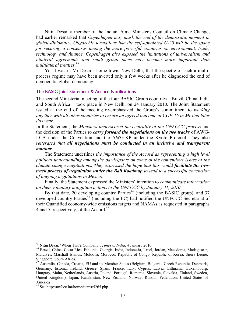Nitin Desai, a member of the Indian Prime Minister's Council on Climate Change, had earlier remarked that *Copenhagen may mark the end of the democratic moment in global diplomacy. Oligarchic formations like the self-appointed G-20 will be the space for securing a consensus among the more powerful countries on environment, trade, technology and finance. Copenhagen also exposed the limitations of universalism and bilateral agreements and small group pacts may become more important than multilateral treaties*. 45

Yet it was in Mr Desai's home town, New Delhi, that the spectre of such a multiprocess regime may have been averted only a few weeks after he diagnosed the end of democratic global democracy.

## The BASIC Joint Statement & Accord Notifications

The second Ministerial meeting of the four BASIC Group countries – Brazil, China, India and South Africa − took place in New Delhi on 24 January 2010. The Joint Statement issued at the end of the meeting re-emphasized the Group's commitment to *working together with all other countries to ensure an agreed outcome at COP-16 in Mexico later this year*.

In the Statement, the *Ministers underscored the centrality of the UNFCCC process* and the decision of the Parties *to carry forward the negotiations on the two tracks* of AWG-LCA under the Convention and the AWG-KP under the Kyoto Protocol. They also *reiterated that all negotiations must be conducted in an inclusive and transparent manner*.

The Statement underlines *the importance of the Accord as representing a high level political understanding among the participants on some of the contentious issues of the*  climate change negotiations. They expressed the hope that this would **facilitate the two***track process of negotiation under the Bali Roadmap to lead to a successful conclusion of ongoing negotiations in Mexico*.

Finally, the Statement expressed the Ministers' intention to *communicate information on their voluntary mitigation actions to the UNFCCC by January 31, 2010*.

By that date, 20 developing country Parties<sup>46</sup> (including the BASIC group), and  $37$ developed country Parties $47$  (including the EC) had notified the UNFCCC Secretariat of their Quantified economy-wide emissions targets and NAMAs as requested in paragraphs 4 and 5, respectively, of the Accord.<sup>48</sup>

 $\overline{a}$ 

<sup>&</sup>lt;sup>45</sup> Nitin Desai, 'When Two's Company', *Times of India*, 4 January 2010<br><sup>46</sup> Brazil, China, Costa Rica, Ethiopia, Georgia, India, Indonesia, Israel, Jordan, Macedonia, Madagascar, Maldives, Marshall Islands, Moldova, Morocco, Republic of Congo, Republic of Korea, Sierra Leone, Singapore, South Africa.

<sup>47</sup> Australia, Canada, Croatia, EU and its Member States (Belgium, Bulgaria, Czech Republic, Denmark, Germany, Estonia, Ireland, Greece, Spain, France, Italy, Cyprus, Latvia, Lithuania, Luxembourg, Hungary, Malta, Netherlands, Austria, Poland, Portugal, Romania, Slovenia, Slovakia, Finland, Sweden, United Kingdom), Japan, Kazakhstan, New Zealand, Norway, Russian Federation, United States of America

<sup>48</sup> See http://unfccc.int/home/items/5265.php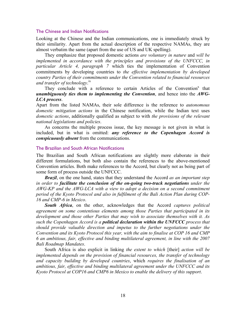#### The Chinese and Indian Notifications

Looking at the Chinese and the Indian communications, one is immediately struck by their similarity. Apart from the actual description of the respective NAMAs, they are almost verbatim the same (apart from the use of US and UK spelling).

They emphasize that proposed domestic actions *are voluntary in nature* and *will be implemented in accordance with the principles and provisions of the UNFCCC, in particular Article 4, paragraph 7* which ties the implementation of Convention commitments by developing countries to *the effective implementation by developed country Parties of their commitments under the Convention related to financial resources and transfer of technology*. ix

They conclude with a reference to certain Articles of the Convention<sup>x</sup> that *unambiguously ties them to implementing the Convention*, and hence into the *AWG-LCA process*.

Apart from the listed NAMAs, their sole difference is the reference to *autonomous domestic mitigation actions* in the Chinese notification, while the Indian text uses *domestic actions*, additionally qualified as subject to with *the provisions of the relevant national legislations and policies*.

As concerns the multiple process issue, the key message is not given in what is included, but in what is omitted: *any reference to the Copenhagen Accord is conspicuously absent* from the communications.

#### The Brazilian and South African Notifications

The Brazilian and South African notifications are slightly more elaborate in their different formulations, but both also contain the references to the above-mentioned Convention articles. Both make references to the Accord, but clearly not as being part of some form of process outside the UNFCCC.

*Brazil*, on the one hand, states that they understand the Accord *as an important step in order to facilitate the conclusion of the on-going two-track negotiations under the AWG-KP and the AWG-LCA with a view to adopt a decision on a second commitment period of the Kyoto Protocol and also in fulfilment of the Bali Action Plan during COP-16 and CMP-6 in Mexico*.

*South Africa*, on the other, acknowledges that the Accord *captures political agreement on some contentious elements among those Parties that participated in its development and those other Parties that may wish to associate themselves with it. As such the Copenhagen Accord is a political declaration within the UNFCCC process that should provide valuable direction and impetus to the further negotiations under the Convention and its Kyoto Protocol this year, with the aim to finalise at COP 16 and CMP 6 an ambitious, fair, effective and binding multilateral agreement, in line with the 2007 Bali Roadmap Mandates*.

South Africa is also explicit in linking *the extent to which* [their] *action will be implemented depends on the provision of financial resources, the transfer of technology and capacity building by developed countries*, which *requires the finalisation of an ambitious, fair, effective and binding multilateral agreement under the UNFCCC and its Kyoto Protocol at COP16 and CMP6 in Mexico to enable the delivery of this support*.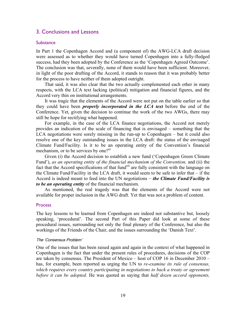# 3. Conclusions and Lessons

# **Substance**

In Part 1 the Copenhagen Accord and (a component of) the AWG-LCA draft decision were assessed as to whether they would have turned Copenhagen into a fully-fledged success, had they been adopted by the Conference as the 'Copenhagen Agreed Outcome'. The conclusion was that, severally, none of them would have been sufficient. Moreover, in light of the poor drafting of the Accord, it stands to reason that it was probably better for the process to have neither of them adopted outright.

That said, it was also clear that the two actually complemented each other in many respects, with the LCA text lacking (political) mitigation and financial figures, and the Accord very thin on institutional arrangements.

It was tragic that the elements of the Accord were not put on the table earlier so that they could have been *properly incorporated in the LCA text* before the end of the Conference. Yet, given the decision to continue the work of the two AWGs, there may still be hope for rectifying what happened.

For example, in the case of the LCA finance negotiations, the Accord not merely provides an indication of the scale of financing that is envisaged – something that the LCA negotiations were sorely missing in the run-up to Copenhagen – but it could also resolve one of the key outstanding issues in the LCA draft: the status of the envisaged Climate Fund/Facility. Is it to be an operating entity of the Convention's financial mechanism, or to be services by one?<sup>xi</sup>

Given (i) the Accord decision to establish a new fund ('Copenhagen Green Climate Fund'), *as an operating entity of the financial mechanism of the Convention,* and (ii) the fact that the Accord specifications of that fund<sup>xii</sup> are fully consistent with the language on the Climate Fund/Facility in the LCA draft, it would seem to be safe to infer that – if the Accord is indeed meant to feed into the UN negotiations − *the Climate Fund/Facility is to be an operating entity* of the financial mechanism.

As mentioned, the real tragedy was that the elements of the Accord were not available for proper inclusion in the AWG draft. Yet that was not a problem of content.

#### **Process**

The key lessons to be learned from Copenhagen are indeed not substantive but, loosely speaking, 'procedural'. The second Part of this Paper did look at some of these procedural issues, surrounding not only the final plenary of the Conference, but also the workings of the Friends of the Chair, and the issues surrounding the 'Danish Text'.

## The 'Consensus Problem'

One of the issues that has been raised again and again in the context of what happened in Copenhagen is the fact that under the present rules of procedures, decisions of the COP are taken by consensus. The President of Mexico – host of COP 16 in December 2010 – has, for example, been reported as urging the UN to *re-examine its rule of consensus, which requires every country participating in negotiations to back a treaty or agreement before it can be adopted.* He was quoted as saying that *half dozen accord opponents,*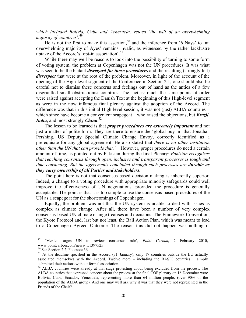*which included Bolivia, Cuba and Venezuela, vetoed* '*the will of an overwhelming majority of countries*'.49

He is not the first to make this assertion,  $50$  and the inference from '6 Nays' to 'an overwhelming majority of Ayes' remains invalid, as witnessed by the rather lacklustre uptake of the Accord's 'opt-in association'.<sup>51</sup>

While there may well be reasons to look into the possibility of turning to some form of voting system, the problem at Copenhagen was not the UN procedures. It was what was seen to be the blatant *disregard for these procedures* and the resulting (strongly felt) *disrespect* that were at the root of the problem. Moreover, in light of the account of the opening of the High-level segment of the Conference in Section 2.1, one should also be careful not to dismiss these concerns and feelings out of hand as the antics of a few disgruntled small obstructionist countries. The fact is: much the same points of order were raised against accepting the Danish Text at the beginning of this High-level segment as were in the now infamous final plenary against the adoption of the Accord. The difference was that in this initial High-level session, it was not (just) ALBA countries – which since have become a convenient scapegoat – who raised the objections, but **Brazil**, *India*, and most strongly *China*. 52

The lesson to be learned is that *proper procedures are extremely important* and not just a matter of polite form. They are there to ensure the 'global buy-in' that Jonathan Pershing, US Deputy Special Climate Change Envoy, correctly identified as a prerequisite for any global agreement. He also stated that *there is no other institution other than the UN that can provide that.* <sup>xiii</sup> However, proper procedures do need a certain amount of time, as pointed out by Pakistan during the final Plenary: *Pakistan recognizes that reaching consensus through open, inclusive and transparent processes is tough and time consuming. But the agreements concluded through such processes are durable as they carry ownership of all Parties and stakeholders.*

The point here is not that consensus-based decision-making is inherently superior. Indeed, a change to a voting procedure with appropriate minority safeguards could well improve the effectiveness of UN negotiations, provided the procedure is generally acceptable. The point is that it is too simple to use the consensus-based procedures of the UN as a scapegoat for the shortcomings of Copenhagen.

Equally, the problem was not that the UN system is unable to deal with issues as complex as climate change. After all, there have been a number of very complex consensus-based UN climate change treatises and decisions: The Framework Convention, the Kyoto Protocol and, last but not least, the Bali Action Plan, which was meant to lead to a Copenhagen Agreed Outcome. The reason this did not happen was nothing in

1

<sup>49 &#</sup>x27;Mexico urges UN to review consensus rule', *Point Carbon*, 2 February 2010, www.pointcarbon.com/news/ 1.1397525

<sup>50</sup> See Section 2.2, Footnote 36.

<sup>&</sup>lt;sup>51</sup> At the deadline specified in the Accord (31 January), only 17 countries outside the EU actually associated themselves with the Accord. Twelve more – including the BASIC countries − simply submitted their actions without formal association.

<sup>&</sup>lt;sup>52</sup> ALBA countries were already at that stage protesting about being excluded from the process. The ALBA countries that expressed concern about the process at the final COP plenary on 16 December were Bolivia, Cuba, Ecuador, Venezuela, representing more than 64 million people, (over 90% of the population of the ALBA group). And one may well ask why it was that they were not represented in the Friends of the Chair?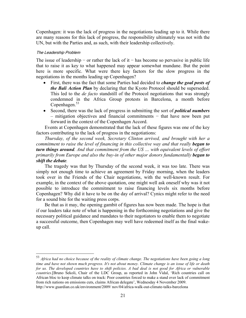Copenhagen: it was the lack of progress in the negotiations leading up to it. While there are many reasons for this lack of progress, the responsibility ultimately was not with the UN, but with the Parties and, as such, with their leadership collectively.

# The Leadership Problem

<u>.</u>

The issue of leadership – or rather the lack of it – has become so pervasive in public life that to raise it as key to what happened may appear somewhat mundane. But the point here is more specific. What were there key factors for the slow progress in the negotiations in the months leading up Copenhagen?

- First, there was the fact that some Parties had decided to *change the goal posts of the Bali Action Plan* by declaring that the Kyoto Protocol should be superseded. This led to the *de facto* standstill of the Protocol negotiations that was strongly condemned in the Africa Group protests in Barcelona, a month before  $Copenhagen.<sup>53</sup>$
- Second, there was the lack of progress in submitting the sort of *political numbers* – mitigation objectives and financial commitments − that have now been put forward in the context of the Copenhagen Accord.

Events at Copenhagen demonstrated that the lack of these figures was one of the key factors contributing to the lack of progress in the negotiations:

*Thursday, of the second week, Secretary Clinton arrived, and brought with her a commitment to raise the level of financing in this collective way and that really began to turn things around. And that commitment from the US … with equivalent levels of effort primarily from Europe and also the buy-in of other major donors fundamentally began to shift the debate.*

The tragedy was that by Thursday of the second week, it was too late. There was simply not enough time to achieve an agreement by Friday morning, when the leaders took over in the Friends of the Chair negotiations, with the well-known result. For example, in the context of the above quotation, one might well ask oneself why was it not possible to introduce the commitment to raise financing levels six months before Copenhagen? Why did it have to be on the day of arrival? Cynics might refer to the need for a sound bite for the waiting press corps.

Be that as it may, the opening gambit of figures has now been made. The hope is that if our leaders take note of what is happening in the forthcoming negotiations and give the necessary political guidance and mandates to their negotiators to enable them to negotiate a successful outcome, then Copenhagen may well have redeemed itself as the final wakeup call.

<sup>53</sup> *Africa had no choice because of the reality of climate change. The negotiations have been going a long time and have not shown much progress. It's not about money. Climate change is an issue of life or death for us. The developed countries have to shift policies. A bad deal is not good for Africa or vulnerable countries*.[Bruno Sekoli, Chair of the LDC Group, as reported in John Vidal, 'Rich countries call on African bloc to keep climate talks on track: Poor countries forced to make a stand over lack of commitment from rich nations on emissions cuts, claims African delegate', Wednesday 4 November 2009. http://www.guardian.co.uk/environment/2009/ nov/04/africa-walk-out-climate-talks-barcelona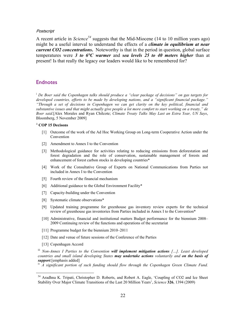#### **Postscript**

A recent article in *Science<sup>54</sup>* suggests that the Mid-Miocene (14 to 10 million years ago) might be a useful interval to understand the effects of a *climate in equilibrium at near current CO2 concentrations***.** Noteworthy is that in the period in question, global surface temperatures were *3 to 6°C warmer* and *sea levels 25 to 40 meters higher* than at present! Is that really the legacy our leaders would like to be remembered for?

# **Endnotes**

<sup>i</sup> *De Boer said the Copenhagen talks should produce a "clear package of decisions" on gas targets for developed countries, efforts to be made by developing nations, and a "significant financial package." "Through a set of decisions in Copenhagen we can get clarity on the key political, financial and substantive issues and that might actually give people a lot more comfort to start working on a treaty," de Boer said*.[Alex Morales and Ryan Chilcote; *Climate Treaty Talks May Last an Extra Year, UN Says*, Bloomberg, 5 November 2009]

## ii **COP 15 Decisons**

- [1] Outcome of the work of the Ad Hoc Working Group on Long-term Cooperative Action under the Convention
- [2] Amendment to Annex I to the Convention
- [3] Methodological guidance for activities relating to reducing emissions from deforestation and forest degradation and the role of conservation, sustainable management of forests and enhancement of forest carbon stocks in developing countries\*
- [4] Work of the Consultative Group of Experts on National Communications from Parties not included in Annex I to the Convention
- [5] Fourth review of the financial mechanism
- [6] Additional guidance to the Global Environment Facility\*
- [7] Capacity-building under the Convention
- [8] Systematic climate observations\*
- [9] Updated training programme for greenhouse gas inventory review experts for the technical review of greenhouse gas inventories from Parties included in Annex I to the Convention\*
- [10] Administrative, financial and institutional matters Budget performance for the biennium 2008– 2009 Continuing review of the functions and operations of the secretariat
- [11] Programme budget for the biennium 2010–2011
- [12] Date and venue of future sessions of the Conference of the Parties
- [13] Copenhagen Accord

 $\overline{a}$ 

iii *Non-Annex I Parties to the Convention will implement mitigation actions […]. Least developed countries and small island developing States may undertake actions voluntarily and on the basis of support.*[emphasis added]

iv *A significant portion of such funding should flow through the Copenhagen Green Climate Fund.* 

<sup>&</sup>lt;sup>54</sup> Aradhna K. Tripati, Christopher D. Roberts, and Robert A. Eagle, 'Coupling of CO2 and Ice Sheet Stability Over Major Climate Transitions of the Last 20 Million Years', *Science* **326**, 1394 (2009)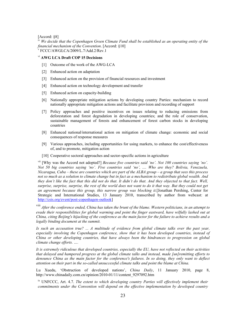[Accord: §8]

iv *We decide that the Copenhagen Green Climate Fund shall be established as an operating entity of the financial mechanism of the Convention.* [Accord: §10] v FCCC/AWGLCA/2009/L.7/Add.2/Rev.1

#### vi **AWG LCA Draft COP 15 Decisions**

- [1] Outcome of the work of the AWG-LCA
- [2] Enhanced action on adaptation
- [3] Enhanced action on the provision of financial resources and investment
- [4] Enhanced action on technology development and transfer
- [5] Enhanced action on capacity-building
- [6] Nationally appropriate mitigation actions by developing country Parties: mechanism to record nationally appropriate mitigation actions and facilitate provision and recording of support
- [7] Policy approaches and positive incentives on issues relating to reducing emissions from deforestation and forest degradation in developing countries; and the role of conservation, sustainable management of forests and enhancement of forest carbon stocks in developing countries
- [8] Enhanced national/international action on mitigation of climate change: economic and social consequences of response measures
- [9] Various approaches, including opportunities for using markets, to enhance the cost/effectiveness of, and to promote, mitigation action
- [10] Cooperative sectoral approaches and sector-specific actions in agriculture

<sup>vii</sup> [Why was the Accord not adopted?] *Because five countries said 'no'. Not 100 countries saying 'no'*. *Not 50 big countries saying 'no'. Five countries said 'no', .... Who are they? Bolivia, Venezuela, Nicaragua, Cuba – these are countries which are part of the ALBA group – a group that sees this process not so much as a solution to climate change but in fact as a mechanism to redistribute global wealth. And they don't like the fact that this did not do that. It didn't do that. And they objected to that fact. Well, surprise, surprise, surprise, the rest of the world does not want to do it that way. But they could not get an agreement because this group, this narrow group was blocking it.*[Jonathan Pershing, Center for Strategic and International Studies, 13 January 2010, transcribed by author from webcast: at http://csis.org/event/post-copenhagen-outlook]

viii *After the conference ended, China has taken the brunt of the blame. Western politicians, in an attempt to evade their responsibilities for global warming and point the finger eastward, have wilfully lashed out at China, citing Beijing's hijacking of the conference as the main factor for the failure to achieve results and a legally binding document at the summit.* 

*Is such an accusation true? ... A multitude of evidence from global climate talks over the past year, especially involving the Copenhagen conference, show that it has been developed countries, instead of China or other developing countries, that have always been the hindrances to progression on global climate change efforts. ….* 

*It is extremely ridiculous that developed countries, especially the EU, have not reflected on their activities that delayed and hampered progress at the global climate talks and instead, made [un]remitting efforts to denounce China as the main factor for the conference's failures. In so doing, they only want to deflect attention on their part in the so-called unsuccessful climate talks and point the blame at China.*

Lu Xuedu, 'Obstruction of developed nations', *China Daily*, 11 January 2010, page 8, http://www.chinadaily.com.cn/opinion/2010-01/11/content\_9297092.htm

ix UNFCCC, Art. 4.7. *The extent to which developing country Parties will effectively implement their commitments under the Convention will depend on the effective implementation by developed country*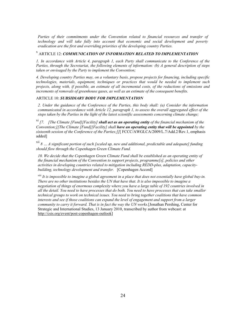*Parties of their commitments under the Convention related to financial resources and transfer of technology and will take fully into account that economic and social development and poverty eradication are the first and overriding priorities of the developing country Parties.*

# x ARTICLE 12: *COMMUNICATION OF INFORMATION RELATED TO IMPLEMENTATION*

*1. In accordance with Article 4, paragraph 1, each Party shall communicate to the Conference of the Parties, through the Secretariat, the following elements of information: (b) A general description of steps taken or envisaged by the Party to implement the Convention;* 

*4. Developing country Parties may, on a voluntary basis, propose projects for financing, including specific technologies, materials, equipment, techniques or practices that would be needed to implement such projects, along with, if possible, an estimate of all incremental costs, of the reductions of emissions and increments of removals of greenhouse gases, as well as an estimate of the consequent benefits.* 

#### ARTICLE 10: *SUBSIDIARY BODY FOR IMPLEMENTATION*

*2. Under the guidance of the Conference of the Parties, this body shall: (a) Consider the information communicated in accordance with Article 12, paragraph 1, to assess the overall aggregated effect of the steps taken by the Parties in the light of the latest scientific assessments concerning climate change;* 

xi *[7. [The Climate [Fund][Facility] shall act as an operating entity of the financial mechanism of the Convention;][The Climate [Fund][Facility] shall have an operating entity that will be appointed by the sixteenth session of the Conference of the Parties;]]*[ FCCC/AWGLCA/2009/L.7/Add.2/Rev.1, emphasis added]

xii *8 … A significant portion of such [scaled up, new and additional, predictable and adequate] funding should flow through the Copenhagen Green Climate Fund.* 

*10. We decide that the Copenhagen Green Climate Fund shall be established as an operating entity of the financial mechanism of the Convention to support projects, programme[s], policies and other activities in developing countries related to mitigation including REDD-plus, adaptation, capacitybuilding, technology development and transfer.* [Copenhagen Accord]

xiii *It is impossible to imagine a global agreement in a place that does not essentially have global buy-in. There are no other institutions besides the UN that have that. It is also impossible to imagine a negotiation of things of enormous complexity where you have a large table of 192 countries involved in all the detail. You need to have processes that do both. You need to have processes that can take smaller technical groups to work on technical issues. You need to bring together coalitions that have common interests and see if those coalitions can expand the level of engagement and support from a larger community to carry it forward. That is in fact the way the UN works.*[Jonathan Pershing, Center for Strategic and International Studies, 13 January 2010, transcribed by author from webcast: at http://csis.org/event/post-copenhagen-outlook]